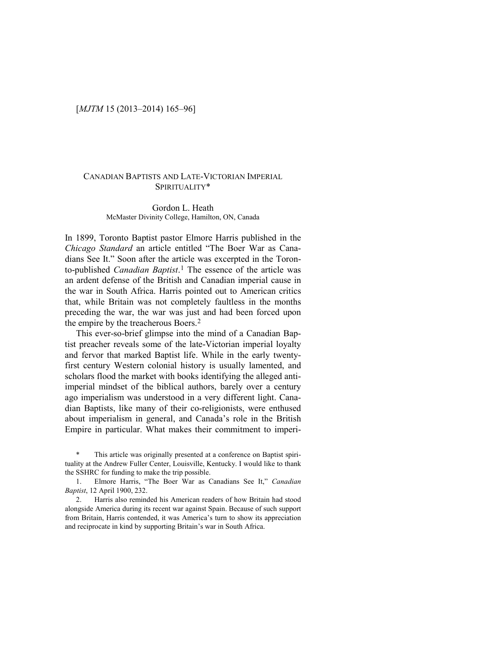# [*MJTM* 15 (2013–2014) 165–96]

# CANADIAN BAPTISTS AND LATE-VICTORIAN IMPERIAL SPIRITUALITY\*

## Gordon L. Heath McMaster Divinity College, Hamilton, ON, Canada

In 1899, Toronto Baptist pastor Elmore Harris published in the *Chicago Standard* an article entitled "The Boer War as Canadians See It." Soon after the article was excerpted in the Toronto-published *Canadian Baptist*.[1](#page-0-0) The essence of the article was an ardent defense of the British and Canadian imperial cause in the war in South Africa. Harris pointed out to American critics that, while Britain was not completely faultless in the months preceding the war, the war was just and had been forced upon the empire by the treacherous Boers.[2](#page-0-1)

This ever-so-brief glimpse into the mind of a Canadian Baptist preacher reveals some of the late-Victorian imperial loyalty and fervor that marked Baptist life. While in the early twentyfirst century Western colonial history is usually lamented, and scholars flood the market with books identifying the alleged antiimperial mindset of the biblical authors, barely over a century ago imperialism was understood in a very different light. Canadian Baptists, like many of their co-religionists, were enthused about imperialism in general, and Canada's role in the British Empire in particular. What makes their commitment to imperi-

<span id="page-0-0"></span>This article was originally presented at a conference on Baptist spirituality at the Andrew Fuller Center, Louisville, Kentucky. I would like to thank the SSHRC for funding to make the trip possible.

1. Elmore Harris, "The Boer War as Canadians See It," *Canadian Baptist*, 12 April 1900, 232.

<span id="page-0-1"></span>2. Harris also reminded his American readers of how Britain had stood alongside America during its recent war against Spain. Because of such support from Britain, Harris contended, it was America's turn to show its appreciation and reciprocate in kind by supporting Britain's war in South Africa.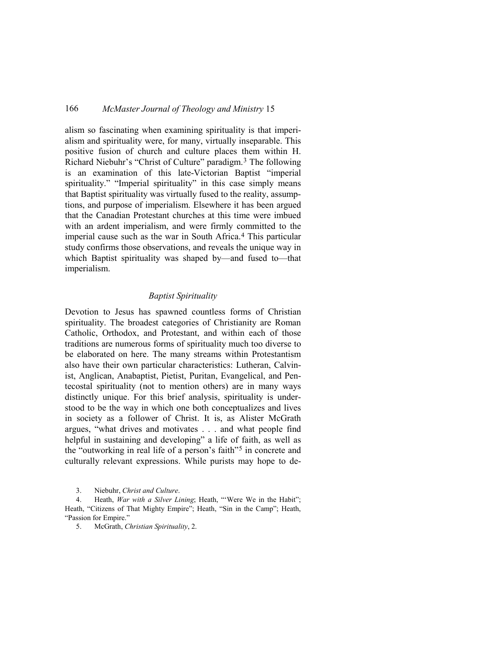alism so fascinating when examining spirituality is that imperialism and spirituality were, for many, virtually inseparable. This positive fusion of church and culture places them within H. Richard Niebuhr's "Christ of Culture" paradigm.[3](#page-1-0) The following is an examination of this late-Victorian Baptist "imperial spirituality." "Imperial spirituality" in this case simply means that Baptist spirituality was virtually fused to the reality, assumptions, and purpose of imperialism. Elsewhere it has been argued that the Canadian Protestant churches at this time were imbued with an ardent imperialism, and were firmly committed to the imperial cause such as the war in South Africa.[4](#page-1-1) This particular study confirms those observations, and reveals the unique way in which Baptist spirituality was shaped by—and fused to—that imperialism.

## *Baptist Spirituality*

Devotion to Jesus has spawned countless forms of Christian spirituality. The broadest categories of Christianity are Roman Catholic, Orthodox, and Protestant, and within each of those traditions are numerous forms of spirituality much too diverse to be elaborated on here. The many streams within Protestantism also have their own particular characteristics: Lutheran, Calvinist, Anglican, Anabaptist, Pietist, Puritan, Evangelical, and Pentecostal spirituality (not to mention others) are in many ways distinctly unique. For this brief analysis, spirituality is understood to be the way in which one both conceptualizes and lives in society as a follower of Christ. It is, as Alister McGrath argues, "what drives and motivates . . . and what people find helpful in sustaining and developing" a life of faith, as well as the "outworking in real life of a person's faith["5](#page-1-2) in concrete and culturally relevant expressions. While purists may hope to de-

<span id="page-1-2"></span><span id="page-1-1"></span><span id="page-1-0"></span>4. Heath, *War with a Silver Lining*; Heath, "'Were We in the Habit"; Heath, "Citizens of That Mighty Empire"; Heath, "Sin in the Camp"; Heath, "Passion for Empire."

5. McGrath, *Christian Spirituality*, 2.

<sup>3.</sup> Niebuhr, *Christ and Culture*.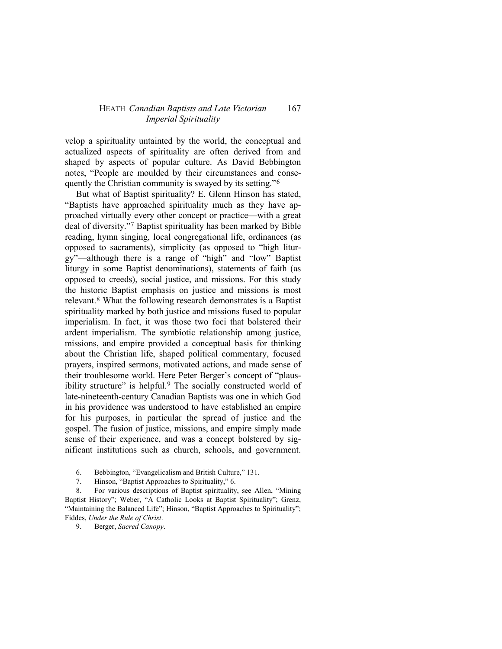velop a spirituality untainted by the world, the conceptual and actualized aspects of spirituality are often derived from and shaped by aspects of popular culture. As David Bebbington notes, "People are moulded by their circumstances and consequently the Christian community is swayed by its setting."[6](#page-2-0)

But what of Baptist spirituality? E. Glenn Hinson has stated, "Baptists have approached spirituality much as they have approached virtually every other concept or practice—with a great deal of diversity.["7](#page-2-1) Baptist spirituality has been marked by Bible reading, hymn singing, local congregational life, ordinances (as opposed to sacraments), simplicity (as opposed to "high liturgy"—although there is a range of "high" and "low" Baptist liturgy in some Baptist denominations), statements of faith (as opposed to creeds), social justice, and missions. For this study the historic Baptist emphasis on justice and missions is most relevant.[8](#page-2-2) What the following research demonstrates is a Baptist spirituality marked by both justice and missions fused to popular imperialism. In fact, it was those two foci that bolstered their ardent imperialism. The symbiotic relationship among justice, missions, and empire provided a conceptual basis for thinking about the Christian life, shaped political commentary, focused prayers, inspired sermons, motivated actions, and made sense of their troublesome world. Here Peter Berger's concept of "plaus-ibility structure" is helpful.<sup>[9](#page-2-3)</sup> The socially constructed world of late-nineteenth-century Canadian Baptists was one in which God in his providence was understood to have established an empire for his purposes, in particular the spread of justice and the gospel. The fusion of justice, missions, and empire simply made sense of their experience, and was a concept bolstered by significant institutions such as church, schools, and government.

6. Bebbington, "Evangelicalism and British Culture," 131.

7. Hinson, "Baptist Approaches to Spirituality," 6.

<span id="page-2-3"></span><span id="page-2-2"></span><span id="page-2-1"></span><span id="page-2-0"></span>8. For various descriptions of Baptist spirituality, see Allen, "Mining Baptist History"; Weber, "A Catholic Looks at Baptist Spirituality"; Grenz, "Maintaining the Balanced Life"; Hinson, "Baptist Approaches to Spirituality"; Fiddes, *Under the Rule of Christ*.

9. Berger, *Sacred Canopy*.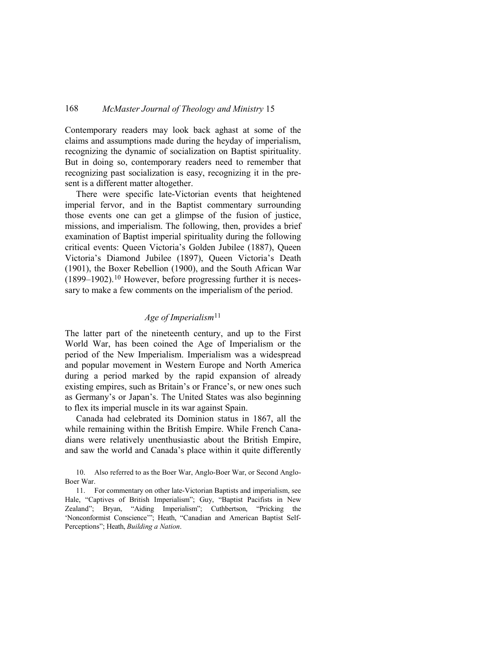Contemporary readers may look back aghast at some of the claims and assumptions made during the heyday of imperialism, recognizing the dynamic of socialization on Baptist spirituality. But in doing so, contemporary readers need to remember that recognizing past socialization is easy, recognizing it in the present is a different matter altogether.

There were specific late-Victorian events that heightened imperial fervor, and in the Baptist commentary surrounding those events one can get a glimpse of the fusion of justice, missions, and imperialism. The following, then, provides a brief examination of Baptist imperial spirituality during the following critical events: Queen Victoria's Golden Jubilee (1887), Queen Victoria's Diamond Jubilee (1897), Queen Victoria's Death (1901), the Boxer Rebellion (1900), and the South African War (1899–1902).[10](#page-3-0) However, before progressing further it is necessary to make a few comments on the imperialism of the period.

# *Age of Imperialism*[11](#page-3-1)

The latter part of the nineteenth century, and up to the First World War, has been coined the Age of Imperialism or the period of the New Imperialism. Imperialism was a widespread and popular movement in Western Europe and North America during a period marked by the rapid expansion of already existing empires, such as Britain's or France's, or new ones such as Germany's or Japan's. The United States was also beginning to flex its imperial muscle in its war against Spain.

Canada had celebrated its Dominion status in 1867, all the while remaining within the British Empire. While French Canadians were relatively unenthusiastic about the British Empire, and saw the world and Canada's place within it quite differently

<span id="page-3-0"></span><sup>10.</sup> Also referred to as the Boer War, Anglo-Boer War, or Second Anglo-Boer War.

<span id="page-3-1"></span><sup>11.</sup> For commentary on other late-Victorian Baptists and imperialism, see Hale, "Captives of British Imperialism"; Guy, "Baptist Pacifists in New Zealand"; Bryan, "Aiding Imperialism"; Cuthbertson, "Pricking the 'Nonconformist Conscience'"; Heath, "Canadian and American Baptist Self-Perceptions"; Heath, *Building a Nation*.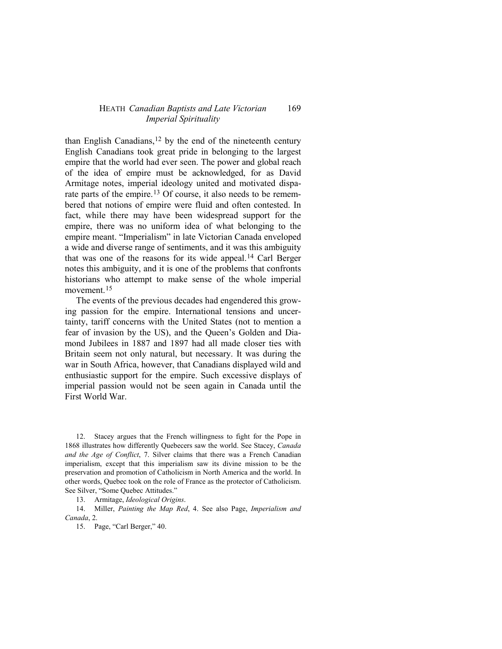than English Canadians,  $12$  by the end of the nineteenth century English Canadians took great pride in belonging to the largest empire that the world had ever seen. The power and global reach of the idea of empire must be acknowledged, for as David Armitage notes, imperial ideology united and motivated dispa-rate parts of the empire.<sup>[13](#page-4-1)</sup> Of course, it also needs to be remembered that notions of empire were fluid and often contested. In fact, while there may have been widespread support for the empire, there was no uniform idea of what belonging to the empire meant. "Imperialism" in late Victorian Canada enveloped a wide and diverse range of sentiments, and it was this ambiguity that was one of the reasons for its wide appeal.[14](#page-4-2) Carl Berger notes this ambiguity, and it is one of the problems that confronts historians who attempt to make sense of the whole imperial movement.<sup>[15](#page-4-3)</sup>

The events of the previous decades had engendered this growing passion for the empire. International tensions and uncertainty, tariff concerns with the United States (not to mention a fear of invasion by the US), and the Queen's Golden and Diamond Jubilees in 1887 and 1897 had all made closer ties with Britain seem not only natural, but necessary. It was during the war in South Africa, however, that Canadians displayed wild and enthusiastic support for the empire. Such excessive displays of imperial passion would not be seen again in Canada until the First World War.

<span id="page-4-0"></span>12. Stacey argues that the French willingness to fight for the Pope in 1868 illustrates how differently Quebecers saw the world. See Stacey, *Canada and the Age of Conflict*, 7. Silver claims that there was a French Canadian imperialism, except that this imperialism saw its divine mission to be the preservation and promotion of Catholicism in North America and the world. In other words, Quebec took on the role of France as the protector of Catholicism. See Silver, "Some Quebec Attitudes."

13. Armitage, *Ideological Origins*.

<span id="page-4-3"></span><span id="page-4-2"></span><span id="page-4-1"></span>14. Miller, *Painting the Map Red*, 4. See also Page, *Imperialism and Canada*, 2.

15. Page, "Carl Berger," 40.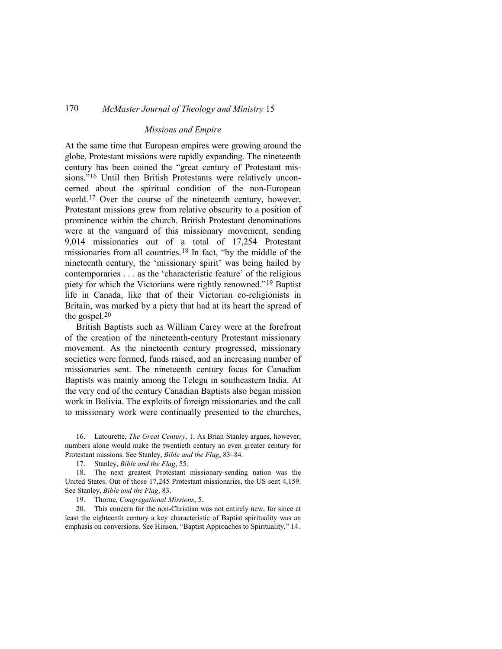## *Missions and Empire*

At the same time that European empires were growing around the globe, Protestant missions were rapidly expanding. The nineteenth century has been coined the "great century of Protestant missions."[16](#page-5-0) Until then British Protestants were relatively unconcerned about the spiritual condition of the non-European world.[17](#page-5-1) Over the course of the nineteenth century, however, Protestant missions grew from relative obscurity to a position of prominence within the church. British Protestant denominations were at the vanguard of this missionary movement, sending 9,014 missionaries out of a total of 17,254 Protestant missionaries from all countries.[18](#page-5-2) In fact, "by the middle of the nineteenth century, the 'missionary spirit' was being hailed by contemporaries . . . as the 'characteristic feature' of the religious piety for which the Victorians were rightly renowned."[19](#page-5-3) Baptist life in Canada, like that of their Victorian co-religionists in Britain, was marked by a piety that had at its heart the spread of the gospel.[20](#page-5-4)

British Baptists such as William Carey were at the forefront of the creation of the nineteenth-century Protestant missionary movement. As the nineteenth century progressed, missionary societies were formed, funds raised, and an increasing number of missionaries sent. The nineteenth century focus for Canadian Baptists was mainly among the Telegu in southeastern India. At the very end of the century Canadian Baptists also began mission work in Bolivia. The exploits of foreign missionaries and the call to missionary work were continually presented to the churches,

<span id="page-5-0"></span>16. Latourette, *The Great Century*, 1. As Brian Stanley argues, however, numbers alone would make the twentieth century an even greater century for Protestant missions. See Stanley, *Bible and the Flag*, 83–84.

17. Stanley, *Bible and the Flag*, 55.

<span id="page-5-2"></span><span id="page-5-1"></span>18. The next greatest Protestant missionary-sending nation was the United States. Out of those 17,245 Protestant missionaries, the US sent 4,159. See Stanley, *Bible and the Flag*, 83.

19. Thorne, *Congregational Missions*, 5.

<span id="page-5-4"></span><span id="page-5-3"></span>20. This concern for the non-Christian was not entirely new, for since at least the eighteenth century a key characteristic of Baptist spirituality was an emphasis on conversions. See Hinson, "Baptist Approaches to Spirituality," 14.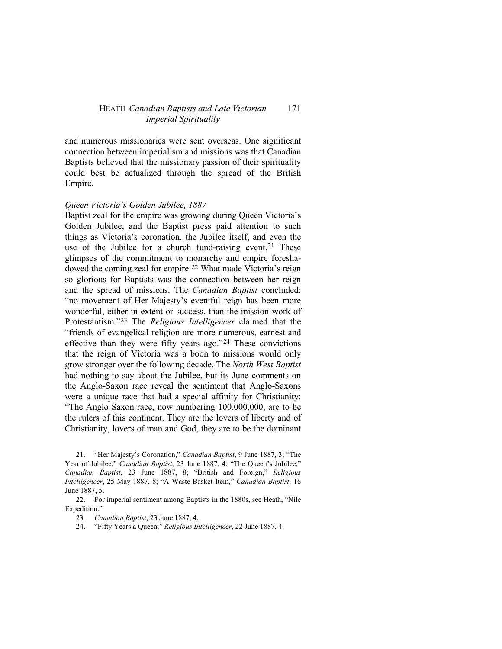and numerous missionaries were sent overseas. One significant connection between imperialism and missions was that Canadian Baptists believed that the missionary passion of their spirituality could best be actualized through the spread of the British Empire.

## *Queen Victoria's Golden Jubilee, 1887*

Baptist zeal for the empire was growing during Queen Victoria's Golden Jubilee, and the Baptist press paid attention to such things as Victoria's coronation, the Jubilee itself, and even the use of the Jubilee for a church fund-raising event.<sup>[21](#page-6-0)</sup> These glimpses of the commitment to monarchy and empire foreshadowed the coming zeal for empire.[22](#page-6-1) What made Victoria's reign so glorious for Baptists was the connection between her reign and the spread of missions. The *Canadian Baptist* concluded: "no movement of Her Majesty's eventful reign has been more wonderful, either in extent or success, than the mission work of Protestantism."[23](#page-6-2) The *Religious Intelligencer* claimed that the "friends of evangelical religion are more numerous, earnest and effective than they were fifty years ago.["24](#page-6-3) These convictions that the reign of Victoria was a boon to missions would only grow stronger over the following decade. The *North West Baptist* had nothing to say about the Jubilee, but its June comments on the Anglo-Saxon race reveal the sentiment that Anglo-Saxons were a unique race that had a special affinity for Christianity: "The Anglo Saxon race, now numbering 100,000,000, are to be the rulers of this continent. They are the lovers of liberty and of Christianity, lovers of man and God, they are to be the dominant

<span id="page-6-3"></span><span id="page-6-2"></span><span id="page-6-1"></span>22. For imperial sentiment among Baptists in the 1880s, see Heath, "Nile Expedition."

24. "Fifty Years a Queen," *Religious Intelligencer*, 22 June 1887, 4.

<span id="page-6-0"></span><sup>21.</sup> "Her Majesty's Coronation," *Canadian Baptist*, 9 June 1887, 3; "The Year of Jubilee," *Canadian Baptist*, 23 June 1887, 4; "The Queen's Jubilee," *Canadian Baptist*, 23 June 1887, 8; "British and Foreign," *Religious Intelligencer*, 25 May 1887, 8; "A Waste-Basket Item," *Canadian Baptist*, 16 June 1887, 5.

<sup>23</sup>*. Canadian Baptist*, 23 June 1887, 4.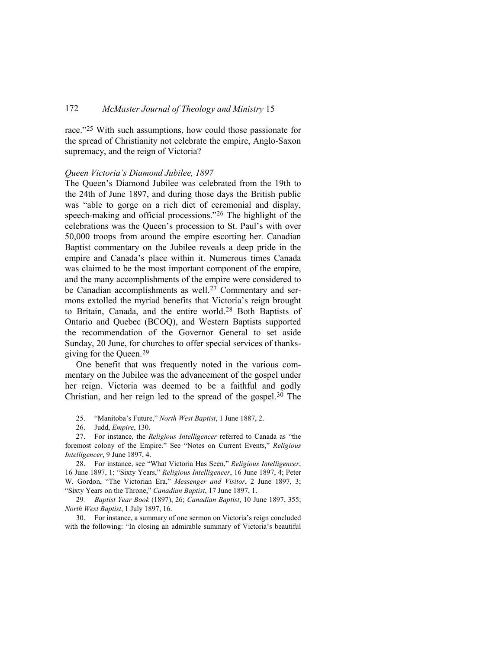race."[25](#page-7-0) With such assumptions, how could those passionate for the spread of Christianity not celebrate the empire, Anglo-Saxon supremacy, and the reign of Victoria?

### *Queen Victoria's Diamond Jubilee, 1897*

The Queen's Diamond Jubilee was celebrated from the 19th to the 24th of June 1897, and during those days the British public was "able to gorge on a rich diet of ceremonial and display, speech-making and official processions."[26](#page-7-1) The highlight of the celebrations was the Queen's procession to St. Paul's with over 50,000 troops from around the empire escorting her. Canadian Baptist commentary on the Jubilee reveals a deep pride in the empire and Canada's place within it. Numerous times Canada was claimed to be the most important component of the empire, and the many accomplishments of the empire were considered to be Canadian accomplishments as well.<sup>[27](#page-7-2)</sup> Commentary and sermons extolled the myriad benefits that Victoria's reign brought to Britain, Canada, and the entire world.[28](#page-7-3) Both Baptists of Ontario and Quebec (BCOQ), and Western Baptists supported the recommendation of the Governor General to set aside Sunday, 20 June, for churches to offer special services of thanksgiving for the Queen.[29](#page-7-4)

One benefit that was frequently noted in the various commentary on the Jubilee was the advancement of the gospel under her reign. Victoria was deemed to be a faithful and godly Christian, and her reign led to the spread of the gospel.[30](#page-7-5) The

25. "Manitoba's Future," *North West Baptist*, 1 June 1887, 2.

26. Judd, *Empire*, 130.

<span id="page-7-2"></span><span id="page-7-1"></span><span id="page-7-0"></span>27. For instance, the *Religious Intelligencer* referred to Canada as "the foremost colony of the Empire." See "Notes on Current Events," *Religious Intelligencer*, 9 June 1897, 4.

<span id="page-7-3"></span>28. For instance, see "What Victoria Has Seen," *Religious Intelligencer*, 16 June 1897, 1; "Sixty Years," *Religious Intelligencer*, 16 June 1897, 4; Peter W. Gordon, "The Victorian Era," *Messenger and Visitor*, 2 June 1897, 3; "Sixty Years on the Throne," *Canadian Baptist*, 17 June 1897, 1.

<span id="page-7-4"></span>29*. Baptist Year Book* (1897), 26; *Canadian Baptist*, 10 June 1897, 355; *North West Baptist*, 1 July 1897, 16.

<span id="page-7-5"></span>30. For instance, a summary of one sermon on Victoria's reign concluded with the following: "In closing an admirable summary of Victoria's beautiful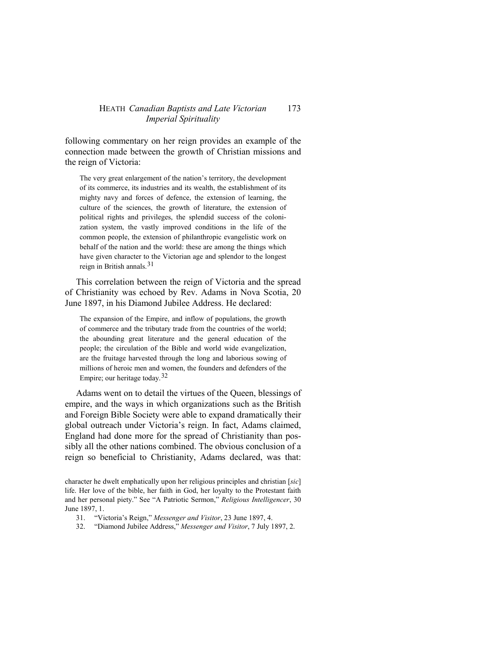following commentary on her reign provides an example of the connection made between the growth of Christian missions and the reign of Victoria:

The very great enlargement of the nation's territory, the development of its commerce, its industries and its wealth, the establishment of its mighty navy and forces of defence, the extension of learning, the culture of the sciences, the growth of literature, the extension of political rights and privileges, the splendid success of the colonization system, the vastly improved conditions in the life of the common people, the extension of philanthropic evangelistic work on behalf of the nation and the world: these are among the things which have given character to the Victorian age and splendor to the longest reign in British annals. $31$ 

This correlation between the reign of Victoria and the spread of Christianity was echoed by Rev. Adams in Nova Scotia, 20 June 1897, in his Diamond Jubilee Address. He declared:

The expansion of the Empire, and inflow of populations, the growth of commerce and the tributary trade from the countries of the world; the abounding great literature and the general education of the people; the circulation of the Bible and world wide evangelization, are the fruitage harvested through the long and laborious sowing of millions of heroic men and women, the founders and defenders of the Empire; our heritage today.[32](#page-8-1)

Adams went on to detail the virtues of the Queen, blessings of empire, and the ways in which organizations such as the British and Foreign Bible Society were able to expand dramatically their global outreach under Victoria's reign. In fact, Adams claimed, England had done more for the spread of Christianity than possibly all the other nations combined. The obvious conclusion of a reign so beneficial to Christianity, Adams declared, was that:

- 31. "Victoria's Reign," *Messenger and Visitor*, 23 June 1897, 4.
- <span id="page-8-1"></span>32. "Diamond Jubilee Address," *Messenger and Visitor*, 7 July 1897, 2.

<span id="page-8-0"></span>character he dwelt emphatically upon her religious principles and christian [*sic*] life. Her love of the bible, her faith in God, her loyalty to the Protestant faith and her personal piety." See "A Patriotic Sermon," *Religious Intelligencer*, 30 June 1897, 1.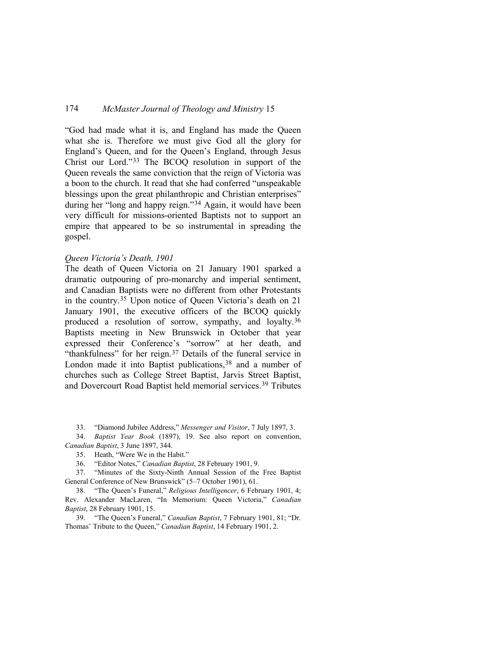"God had made what it is, and England has made the Queen what she is. Therefore we must give God all the glory for England's Queen, and for the Queen's England, through Jesus Christ our Lord."[33](#page-9-0) The BCOQ resolution in support of the Queen reveals the same conviction that the reign of Victoria was a boon to the church. It read that she had conferred "unspeakable blessings upon the great philanthropic and Christian enterprises" during her "long and happy reign."[34](#page-9-1) Again, it would have been very difficult for missions-oriented Baptists not to support an empire that appeared to be so instrumental in spreading the gospel.

# *Queen Victoria's Death, 1901*

The death of Queen Victoria on 21 January 1901 sparked a dramatic outpouring of pro-monarchy and imperial sentiment, and Canadian Baptists were no different from other Protestants in the country.[35](#page-9-2) Upon notice of Queen Victoria's death on 21 January 1901, the executive officers of the BCOQ quickly produced a resolution of sorrow, sympathy, and loyalty.[36](#page-9-3) Baptists meeting in New Brunswick in October that year expressed their Conference's "sorrow" at her death, and "thankfulness" for her reign.[37](#page-9-4) Details of the funeral service in London made it into Baptist publications,<sup>[38](#page-9-5)</sup> and a number of churches such as College Street Baptist, Jarvis Street Baptist, and Dovercourt Road Baptist held memorial services.[39](#page-9-6) Tributes

33. "Diamond Jubilee Address," *Messenger and Visitor*, 7 July 1897, 3.

<span id="page-9-2"></span><span id="page-9-1"></span><span id="page-9-0"></span>34. *Baptist Year Book* (1897), 19. See also report on convention, *Canadian Baptist*, 3 June 1897, 344.

35. Heath, "Were We in the Habit."

36. "Editor Notes," *Canadian Baptist*, 28 February 1901, 9.

<span id="page-9-4"></span><span id="page-9-3"></span>37. "Minutes of the Sixty-Ninth Annual Session of the Free Baptist General Conference of New Brunswick" (5–7 October 1901), 61.

<span id="page-9-5"></span>38. "The Queen's Funeral," *Religious Intelligencer*, 6 February 1901, 4; Rev. Alexander MacLaren, "In Memorium: Queen Victoria," *Canadian Baptist*, 28 February 1901, 15.

<span id="page-9-6"></span>39. "The Queen's Funeral," *Canadian Baptist*, 7 February 1901, 81; "Dr. Thomas' Tribute to the Queen," *Canadian Baptist*, 14 February 1901, 2.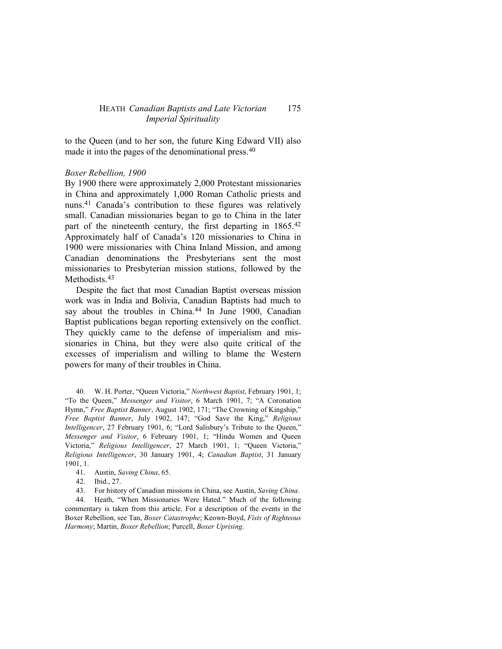to the Queen (and to her son, the future King Edward VII) also made it into the pages of the denominational press.<sup>[40](#page-10-0)</sup>

## *Boxer Rebellion, 1900*

By 1900 there were approximately 2,000 Protestant missionaries in China and approximately 1,000 Roman Catholic priests and nuns.[41](#page-10-1) Canada's contribution to these figures was relatively small. Canadian missionaries began to go to China in the later part of the nineteenth century, the first departing in 1865.[42](#page-10-2) Approximately half of Canada's 120 missionaries to China in 1900 were missionaries with China Inland Mission, and among Canadian denominations the Presbyterians sent the most missionaries to Presbyterian mission stations, followed by the Methodists.<sup>[43](#page-10-3)</sup>

Despite the fact that most Canadian Baptist overseas mission work was in India and Bolivia, Canadian Baptists had much to say about the troubles in China.<sup>[44](#page-10-4)</sup> In June 1900, Canadian Baptist publications began reporting extensively on the conflict. They quickly came to the defense of imperialism and missionaries in China, but they were also quite critical of the excesses of imperialism and willing to blame the Western powers for many of their troubles in China.

<span id="page-10-0"></span>40. W. H. Porter, "Queen Victoria," *Northwest Baptist*, February 1901, 1; "To the Queen," *Messenger and Visitor*, 6 March 1901, 7; "A Coronation Hymn," *Free Baptist Banner*, August 1902, 171; "The Crowning of Kingship," *Free Baptist Banner*, July 1902, 147; "God Save the King," *Religious Intelligencer*, 27 February 1901, 6; "Lord Salisbury's Tribute to the Queen," *Messenger and Visitor*, 6 February 1901, 1; "Hindu Women and Queen Victoria," *Religious Intelligencer*, 27 March 1901, 1; "Queen Victoria," *Religious Intelligencer*, 30 January 1901, 4; *Canadian Baptist*, 31 January 1901, 1.

42. Ibid., 27.

43. For history of Canadian missions in China, see Austin, *Saving China*.

<span id="page-10-4"></span><span id="page-10-3"></span><span id="page-10-2"></span><span id="page-10-1"></span>44. Heath, "When Missionaries Were Hated." Much of the following commentary is taken from this article. For a description of the events in the Boxer Rebellion, see Tan, *Boxer Catastrophe*; Keown-Boyd, *Fists of Righteous Harmony*; Martin, *Boxer Rebellion*; Purcell, *Boxer Uprising*.

<sup>41.</sup> Austin, *Saving China*, 65.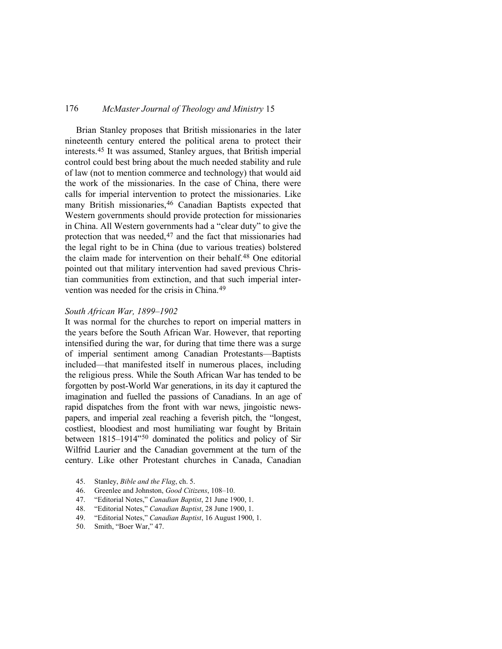Brian Stanley proposes that British missionaries in the later nineteenth century entered the political arena to protect their interests.[45](#page-11-0) It was assumed, Stanley argues, that British imperial control could best bring about the much needed stability and rule of law (not to mention commerce and technology) that would aid the work of the missionaries. In the case of China, there were calls for imperial intervention to protect the missionaries. Like many British missionaries, <sup>[46](#page-11-1)</sup> Canadian Baptists expected that Western governments should provide protection for missionaries in China. All Western governments had a "clear duty" to give the protection that was needed,<sup>[47](#page-11-2)</sup> and the fact that missionaries had the legal right to be in China (due to various treaties) bolstered the claim made for intervention on their behalf[.48](#page-11-3) One editorial pointed out that military intervention had saved previous Christian communities from extinction, and that such imperial intervention was needed for the crisis in China[.49](#page-11-4)

# *South African War, 1899–1902*

It was normal for the churches to report on imperial matters in the years before the South African War. However, that reporting intensified during the war, for during that time there was a surge of imperial sentiment among Canadian Protestants—Baptists included—that manifested itself in numerous places, including the religious press. While the South African War has tended to be forgotten by post-World War generations, in its day it captured the imagination and fuelled the passions of Canadians. In an age of rapid dispatches from the front with war news, jingoistic newspapers, and imperial zeal reaching a feverish pitch, the "longest, costliest, bloodiest and most humiliating war fought by Britain between 1815–1914"[50](#page-11-5) dominated the politics and policy of Sir Wilfrid Laurier and the Canadian government at the turn of the century. Like other Protestant churches in Canada, Canadian

- <span id="page-11-0"></span>45. Stanley, *Bible and the Flag*, ch. 5.
- <span id="page-11-1"></span>46. Greenlee and Johnston, *Good Citizens*, 108–10.
- <span id="page-11-2"></span>47. "Editorial Notes," *Canadian Baptist*, 21 June 1900, 1.
- <span id="page-11-3"></span>48. "Editorial Notes," *Canadian Baptist*, 28 June 1900, 1.
- <span id="page-11-4"></span>49. "Editorial Notes," *Canadian Baptist*, 16 August 1900, 1.
- <span id="page-11-5"></span>50. Smith, "Boer War," 47.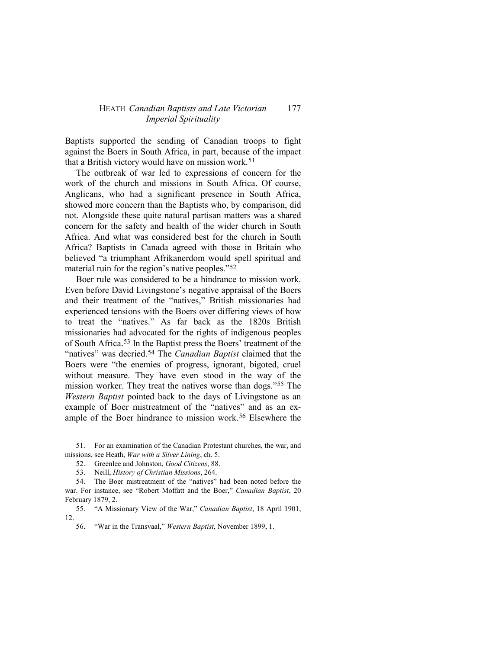Baptists supported the sending of Canadian troops to fight against the Boers in South Africa, in part, because of the impact that a British victory would have on mission work.<sup>[51](#page-12-0)</sup>

The outbreak of war led to expressions of concern for the work of the church and missions in South Africa. Of course, Anglicans, who had a significant presence in South Africa, showed more concern than the Baptists who, by comparison, did not. Alongside these quite natural partisan matters was a shared concern for the safety and health of the wider church in South Africa. And what was considered best for the church in South Africa? Baptists in Canada agreed with those in Britain who believed "a triumphant Afrikanerdom would spell spiritual and material ruin for the region's native peoples."<sup>[52](#page-12-1)</sup>

Boer rule was considered to be a hindrance to mission work. Even before David Livingstone's negative appraisal of the Boers and their treatment of the "natives," British missionaries had experienced tensions with the Boers over differing views of how to treat the "natives." As far back as the 1820s British missionaries had advocated for the rights of indigenous peoples of South Africa.[53](#page-12-2) In the Baptist press the Boers' treatment of the "natives" was decried[.54](#page-12-3) The *Canadian Baptist* claimed that the Boers were "the enemies of progress, ignorant, bigoted, cruel without measure. They have even stood in the way of the mission worker. They treat the natives worse than dogs."[55](#page-12-4) The *Western Baptist* pointed back to the days of Livingstone as an example of Boer mistreatment of the "natives" and as an example of the Boer hindrance to mission work.[56](#page-12-5) Elsewhere the

<span id="page-12-1"></span><span id="page-12-0"></span>51. For an examination of the Canadian Protestant churches, the war, and missions, see Heath, *War with a Silver Lining*, ch. 5.

52. Greenlee and Johnston, *Good Citizens*, 88.

53. Neill, *History of Christian Missions*, 264.

<span id="page-12-3"></span><span id="page-12-2"></span>54. The Boer mistreatment of the "natives" had been noted before the war. For instance, see "Robert Moffatt and the Boer," *Canadian Baptist*, 20 February 1879, 2.

<span id="page-12-5"></span><span id="page-12-4"></span>55. "A Missionary View of the War," *Canadian Baptist*, 18 April 1901, 12.

56. "War in the Transvaal," *Western Baptist*, November 1899, 1.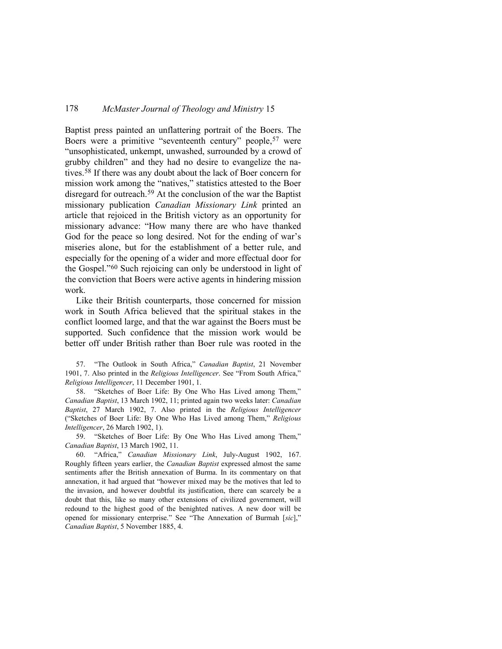Baptist press painted an unflattering portrait of the Boers. The Boers were a primitive "seventeenth century" people,<sup>[57](#page-13-0)</sup> were "unsophisticated, unkempt, unwashed, surrounded by a crowd of grubby children" and they had no desire to evangelize the natives.[58](#page-13-1) If there was any doubt about the lack of Boer concern for mission work among the "natives," statistics attested to the Boer disregard for outreach.[59](#page-13-2) At the conclusion of the war the Baptist missionary publication *Canadian Missionary Link* printed an article that rejoiced in the British victory as an opportunity for missionary advance: "How many there are who have thanked God for the peace so long desired. Not for the ending of war's miseries alone, but for the establishment of a better rule, and especially for the opening of a wider and more effectual door for the Gospel."[60](#page-13-3) Such rejoicing can only be understood in light of the conviction that Boers were active agents in hindering mission work.

Like their British counterparts, those concerned for mission work in South Africa believed that the spiritual stakes in the conflict loomed large, and that the war against the Boers must be supported. Such confidence that the mission work would be better off under British rather than Boer rule was rooted in the

<span id="page-13-0"></span>57. "The Outlook in South Africa," *Canadian Baptist*, 21 November 1901, 7. Also printed in the *Religious Intelligencer*. See "From South Africa," *Religious Intelligencer*, 11 December 1901, 1.

<span id="page-13-1"></span>58. "Sketches of Boer Life: By One Who Has Lived among Them," *Canadian Baptist*, 13 March 1902, 11; printed again two weeks later: *Canadian Baptist*, 27 March 1902, 7. Also printed in the *Religious Intelligencer* ("Sketches of Boer Life: By One Who Has Lived among Them," *Religious Intelligencer*, 26 March 1902, 1).

<span id="page-13-2"></span>59. "Sketches of Boer Life: By One Who Has Lived among Them," *Canadian Baptist*, 13 March 1902, 11.

<span id="page-13-3"></span>60. "Africa," *Canadian Missionary Link*, July-August 1902, 167. Roughly fifteen years earlier, the *Canadian Baptist* expressed almost the same sentiments after the British annexation of Burma. In its commentary on that annexation, it had argued that "however mixed may be the motives that led to the invasion, and however doubtful its justification, there can scarcely be a doubt that this, like so many other extensions of civilized government, will redound to the highest good of the benighted natives. A new door will be opened for missionary enterprise." See "The Annexation of Burmah [*sic*]," *Canadian Baptist*, 5 November 1885, 4.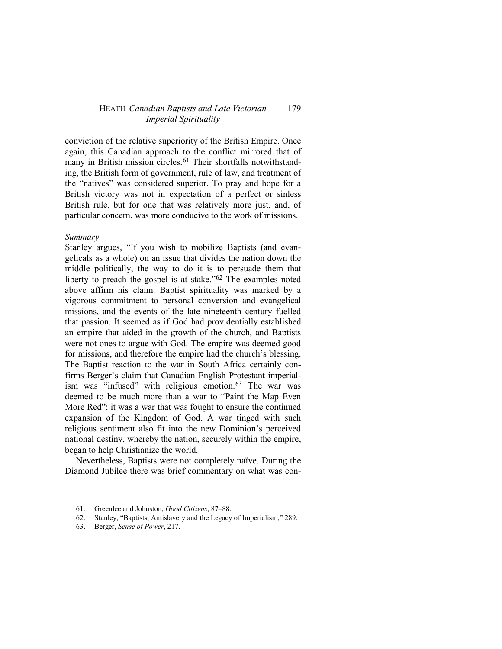conviction of the relative superiority of the British Empire. Once again, this Canadian approach to the conflict mirrored that of many in British mission circles.<sup>[61](#page-14-0)</sup> Their shortfalls notwithstanding, the British form of government, rule of law, and treatment of the "natives" was considered superior. To pray and hope for a British victory was not in expectation of a perfect or sinless British rule, but for one that was relatively more just, and, of particular concern, was more conducive to the work of missions.

## *Summary*

Stanley argues, "If you wish to mobilize Baptists (and evangelicals as a whole) on an issue that divides the nation down the middle politically, the way to do it is to persuade them that liberty to preach the gospel is at stake."<sup>62</sup> The examples noted above affirm his claim. Baptist spirituality was marked by a vigorous commitment to personal conversion and evangelical missions, and the events of the late nineteenth century fuelled that passion. It seemed as if God had providentially established an empire that aided in the growth of the church, and Baptists were not ones to argue with God. The empire was deemed good for missions, and therefore the empire had the church's blessing. The Baptist reaction to the war in South Africa certainly confirms Berger's claim that Canadian English Protestant imperial-ism was "infused" with religious emotion.<sup>[63](#page-14-2)</sup> The war was deemed to be much more than a war to "Paint the Map Even More Red"; it was a war that was fought to ensure the continued expansion of the Kingdom of God. A war tinged with such religious sentiment also fit into the new Dominion's perceived national destiny, whereby the nation, securely within the empire, began to help Christianize the world.

Nevertheless, Baptists were not completely naïve. During the Diamond Jubilee there was brief commentary on what was con-

- <span id="page-14-1"></span><span id="page-14-0"></span>61. Greenlee and Johnston, *Good Citizens*, 87–88.
- 62. Stanley, "Baptists, Antislavery and the Legacy of Imperialism," 289.
- <span id="page-14-2"></span>63. Berger, *Sense of Power*, 217.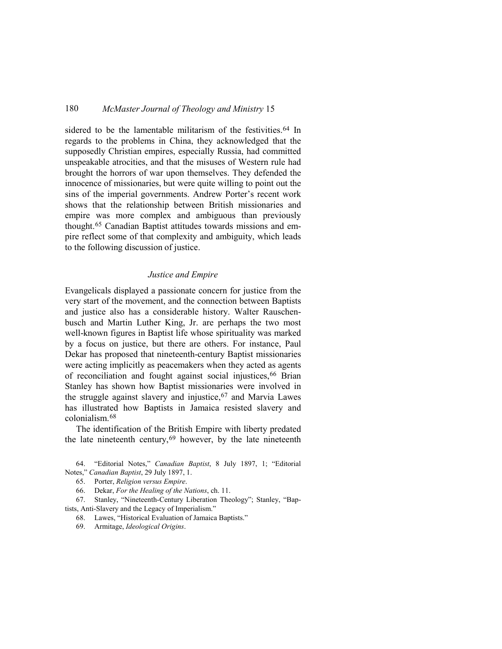sidered to be the lamentable militarism of the festivities.<sup>[64](#page-15-0)</sup> In regards to the problems in China, they acknowledged that the supposedly Christian empires, especially Russia, had committed unspeakable atrocities, and that the misuses of Western rule had brought the horrors of war upon themselves. They defended the innocence of missionaries, but were quite willing to point out the sins of the imperial governments. Andrew Porter's recent work shows that the relationship between British missionaries and empire was more complex and ambiguous than previously thought.[65](#page-15-1) Canadian Baptist attitudes towards missions and empire reflect some of that complexity and ambiguity, which leads to the following discussion of justice.

## *Justice and Empire*

Evangelicals displayed a passionate concern for justice from the very start of the movement, and the connection between Baptists and justice also has a considerable history. Walter Rauschenbusch and Martin Luther King, Jr. are perhaps the two most well-known figures in Baptist life whose spirituality was marked by a focus on justice, but there are others. For instance, Paul Dekar has proposed that nineteenth-century Baptist missionaries were acting implicitly as peacemakers when they acted as agents of reconciliation and fought against social injustices, <sup>[66](#page-15-2)</sup> Brian Stanley has shown how Baptist missionaries were involved in the struggle against slavery and injustice,<sup>[67](#page-15-3)</sup> and Marvia Lawes has illustrated how Baptists in Jamaica resisted slavery and colonialism.[68](#page-15-4)

The identification of the British Empire with liberty predated the late nineteenth century,  $69$  however, by the late nineteenth

<span id="page-15-1"></span><span id="page-15-0"></span>64. "Editorial Notes," *Canadian Baptist*, 8 July 1897, 1; "Editorial Notes," *Canadian Baptist*, 29 July 1897, 1.

65. Porter, *Religion versus Empire*.

66. Dekar, *For the Healing of the Nations*, ch. 11.

<span id="page-15-5"></span><span id="page-15-4"></span><span id="page-15-3"></span><span id="page-15-2"></span>67. Stanley, "Nineteenth-Century Liberation Theology"; Stanley, "Baptists, Anti-Slavery and the Legacy of Imperialism."

68. Lawes, "Historical Evaluation of Jamaica Baptists."

69. Armitage, *Ideological Origins*.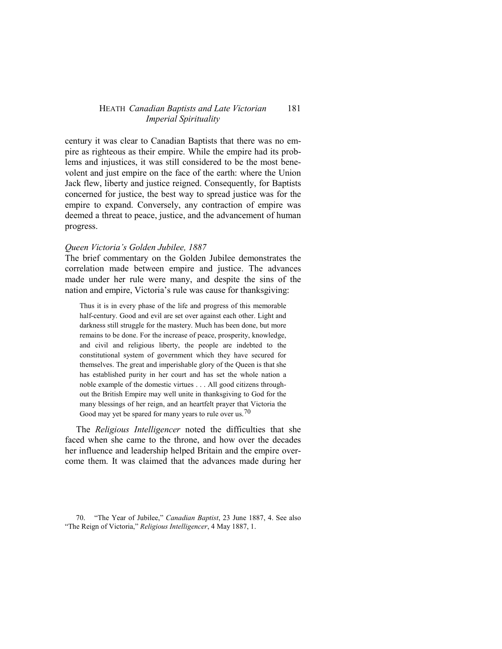century it was clear to Canadian Baptists that there was no empire as righteous as their empire. While the empire had its problems and injustices, it was still considered to be the most benevolent and just empire on the face of the earth: where the Union Jack flew, liberty and justice reigned. Consequently, for Baptists concerned for justice, the best way to spread justice was for the empire to expand. Conversely, any contraction of empire was deemed a threat to peace, justice, and the advancement of human progress.

### *Queen Victoria's Golden Jubilee, 1887*

The brief commentary on the Golden Jubilee demonstrates the correlation made between empire and justice. The advances made under her rule were many, and despite the sins of the nation and empire, Victoria's rule was cause for thanksgiving:

Thus it is in every phase of the life and progress of this memorable half-century. Good and evil are set over against each other. Light and darkness still struggle for the mastery. Much has been done, but more remains to be done. For the increase of peace, prosperity, knowledge, and civil and religious liberty, the people are indebted to the constitutional system of government which they have secured for themselves. The great and imperishable glory of the Queen is that she has established purity in her court and has set the whole nation a noble example of the domestic virtues . . . All good citizens throughout the British Empire may well unite in thanksgiving to God for the many blessings of her reign, and an heartfelt prayer that Victoria the Good may yet be spared for many years to rule over us.<sup>[70](#page-16-0)</sup>

The *Religious Intelligencer* noted the difficulties that she faced when she came to the throne, and how over the decades her influence and leadership helped Britain and the empire overcome them. It was claimed that the advances made during her

<span id="page-16-0"></span><sup>70.</sup> "The Year of Jubilee," *Canadian Baptist*, 23 June 1887, 4. See also "The Reign of Victoria," *Religious Intelligencer*, 4 May 1887, 1.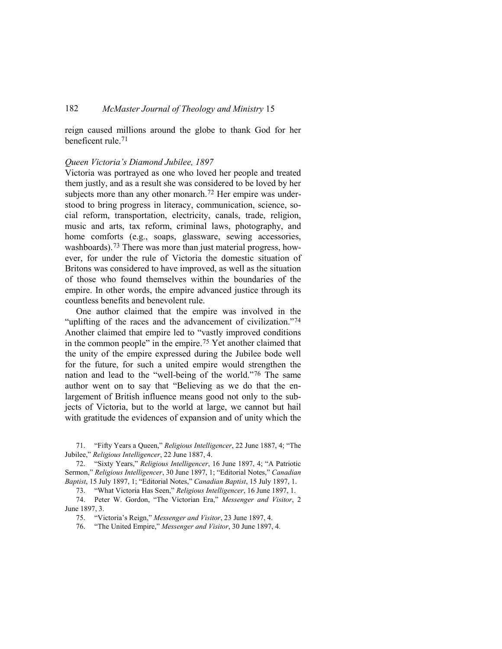reign caused millions around the globe to thank God for her beneficent rule.[71](#page-17-0)

## *Queen Victoria's Diamond Jubilee, 1897*

Victoria was portrayed as one who loved her people and treated them justly, and as a result she was considered to be loved by her subjects more than any other monarch.<sup>[72](#page-17-1)</sup> Her empire was understood to bring progress in literacy, communication, science, social reform, transportation, electricity, canals, trade, religion, music and arts, tax reform, criminal laws, photography, and home comforts (e.g., soaps, glassware, sewing accessories, washboards).<sup>[73](#page-17-2)</sup> There was more than just material progress, however, for under the rule of Victoria the domestic situation of Britons was considered to have improved, as well as the situation of those who found themselves within the boundaries of the empire. In other words, the empire advanced justice through its countless benefits and benevolent rule.

One author claimed that the empire was involved in the "uplifting of the races and the advancement of civilization."[74](#page-17-3) Another claimed that empire led to "vastly improved conditions in the common people" in the empire.[75](#page-17-4) Yet another claimed that the unity of the empire expressed during the Jubilee bode well for the future, for such a united empire would strengthen the nation and lead to the "well-being of the world."[76](#page-17-5) The same author went on to say that "Believing as we do that the enlargement of British influence means good not only to the subjects of Victoria, but to the world at large, we cannot but hail with gratitude the evidences of expansion and of unity which the

<span id="page-17-0"></span>71. "Fifty Years a Queen," *Religious Intelligencer*, 22 June 1887, 4; "The Jubilee," *Religious Intelligencer*, 22 June 1887, 4.

<span id="page-17-1"></span>72. "Sixty Years," *Religious Intelligencer*, 16 June 1897, 4; "A Patriotic Sermon," *Religious Intelligencer*, 30 June 1897, 1; "Editorial Notes," *Canadian Baptist*, 15 July 1897, 1; "Editorial Notes," *Canadian Baptist*, 15 July 1897, 1.

73. "What Victoria Has Seen," *Religious Intelligencer*, 16 June 1897, 1.

<span id="page-17-5"></span><span id="page-17-4"></span><span id="page-17-3"></span><span id="page-17-2"></span>74. Peter W. Gordon, "The Victorian Era," *Messenger and Visitor*, 2 June 1897, 3.

75. "Victoria's Reign," *Messenger and Visitor*, 23 June 1897, 4.

76. "The United Empire," *Messenger and Visitor*, 30 June 1897, 4.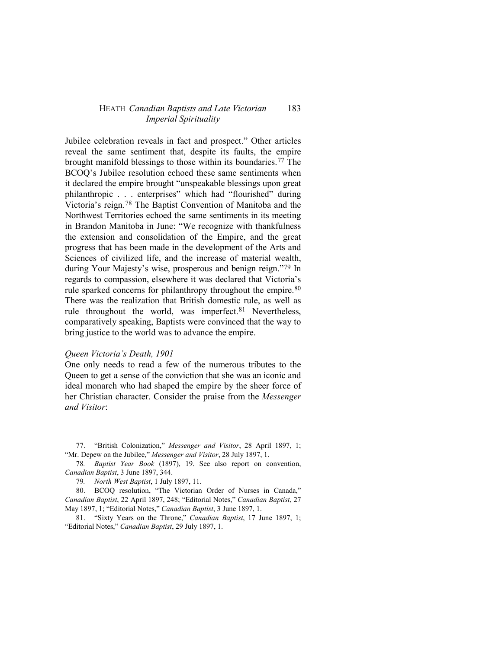Jubilee celebration reveals in fact and prospect." Other articles reveal the same sentiment that, despite its faults, the empire brought manifold blessings to those within its boundaries.[77](#page-18-0) The BCOQ's Jubilee resolution echoed these same sentiments when it declared the empire brought "unspeakable blessings upon great philanthropic . . . enterprises" which had "flourished" during Victoria's reign.[78](#page-18-1) The Baptist Convention of Manitoba and the Northwest Territories echoed the same sentiments in its meeting in Brandon Manitoba in June: "We recognize with thankfulness the extension and consolidation of the Empire, and the great progress that has been made in the development of the Arts and Sciences of civilized life, and the increase of material wealth, during Your Majesty's wise, prosperous and benign reign."[79](#page-18-2) In regards to compassion, elsewhere it was declared that Victoria's rule sparked concerns for philanthropy throughout the empire.<sup>[80](#page-18-3)</sup> There was the realization that British domestic rule, as well as rule throughout the world, was imperfect.<sup>[81](#page-18-4)</sup> Nevertheless, comparatively speaking, Baptists were convinced that the way to bring justice to the world was to advance the empire.

### *Queen Victoria's Death, 1901*

One only needs to read a few of the numerous tributes to the Queen to get a sense of the conviction that she was an iconic and ideal monarch who had shaped the empire by the sheer force of her Christian character. Consider the praise from the *Messenger and Visitor*:

<span id="page-18-0"></span>77. "British Colonization," *Messenger and Visitor*, 28 April 1897, 1; "Mr. Depew on the Jubilee," *Messenger and Visitor*, 28 July 1897, 1.

<span id="page-18-1"></span>78*. Baptist Year Book* (1897), 19. See also report on convention, *Canadian Baptist*, 3 June 1897, 344.

79*. North West Baptist*, 1 July 1897, 11.

<span id="page-18-3"></span><span id="page-18-2"></span>80. BCOQ resolution, "The Victorian Order of Nurses in Canada," *Canadian Baptist*, 22 April 1897, 248; "Editorial Notes," *Canadian Baptist*, 27 May 1897, 1; "Editorial Notes," *Canadian Baptist*, 3 June 1897, 1.

<span id="page-18-4"></span>81. "Sixty Years on the Throne," *Canadian Baptist*, 17 June 1897, 1; "Editorial Notes," *Canadian Baptist*, 29 July 1897, 1.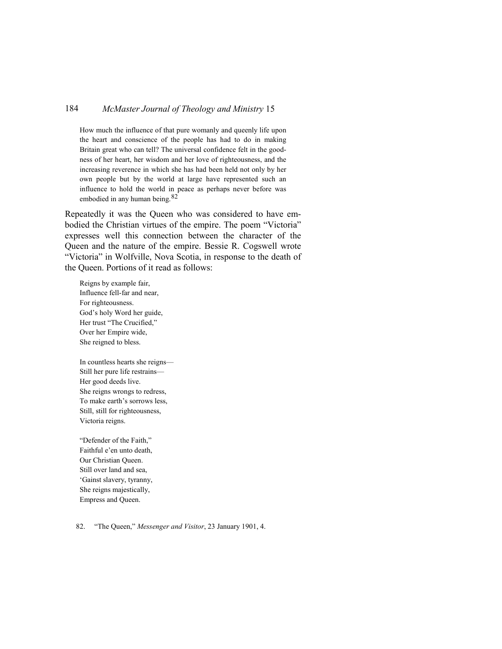How much the influence of that pure womanly and queenly life upon the heart and conscience of the people has had to do in making Britain great who can tell? The universal confidence felt in the goodness of her heart, her wisdom and her love of righteousness, and the increasing reverence in which she has had been held not only by her own people but by the world at large have represented such an influence to hold the world in peace as perhaps never before was embodied in any human being.[82](#page-19-0)

Repeatedly it was the Queen who was considered to have embodied the Christian virtues of the empire. The poem "Victoria" expresses well this connection between the character of the Queen and the nature of the empire. Bessie R. Cogswell wrote "Victoria" in Wolfville, Nova Scotia, in response to the death of the Queen. Portions of it read as follows:

Reigns by example fair, Influence fell-far and near, For righteousness. God's holy Word her guide, Her trust "The Crucified," Over her Empire wide, She reigned to bless.

In countless hearts she reigns— Still her pure life restrains— Her good deeds live. She reigns wrongs to redress, To make earth's sorrows less, Still, still for righteousness, Victoria reigns.

"Defender of the Faith," Faithful e'en unto death, Our Christian Queen. Still over land and sea, 'Gainst slavery, tyranny, She reigns majestically, Empress and Queen.

<span id="page-19-0"></span>82. "The Queen," *Messenger and Visitor*, 23 January 1901, 4.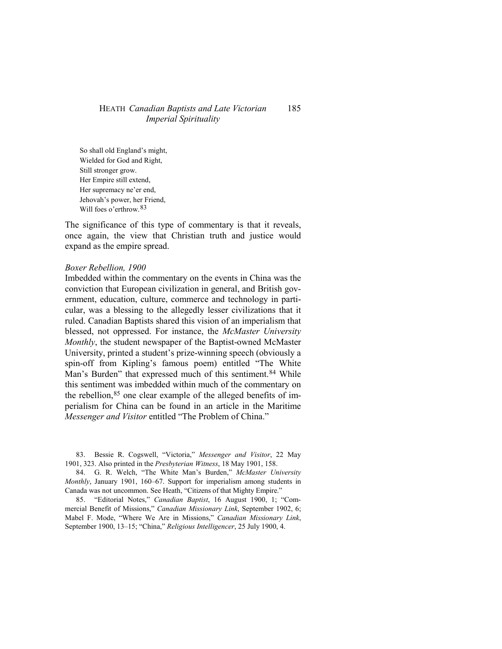So shall old England's might, Wielded for God and Right, Still stronger grow. Her Empire still extend, Her supremacy ne'er end, Jehovah's power, her Friend, Will foes o'erthrow. [83](#page-20-0)

The significance of this type of commentary is that it reveals, once again, the view that Christian truth and justice would expand as the empire spread.

### *Boxer Rebellion, 1900*

Imbedded within the commentary on the events in China was the conviction that European civilization in general, and British government, education, culture, commerce and technology in particular, was a blessing to the allegedly lesser civilizations that it ruled. Canadian Baptists shared this vision of an imperialism that blessed, not oppressed. For instance, the *McMaster University Monthly*, the student newspaper of the Baptist-owned McMaster University, printed a student's prize-winning speech (obviously a spin-off from Kipling's famous poem) entitled "The White Man's Burden" that expressed much of this sentiment.<sup>[84](#page-20-1)</sup> While this sentiment was imbedded within much of the commentary on the rebellion,<sup>[85](#page-20-2)</sup> one clear example of the alleged benefits of imperialism for China can be found in an article in the Maritime *Messenger and Visitor* entitled "The Problem of China."

<span id="page-20-0"></span>83. Bessie R. Cogswell, "Victoria," *Messenger and Visitor*, 22 May 1901, 323. Also printed in the *Presbyterian Witness*, 18 May 1901, 158.

<span id="page-20-1"></span>84. G. R. Welch, "The White Man's Burden," *McMaster University Monthly*, January 1901, 160–67. Support for imperialism among students in Canada was not uncommon. See Heath, "Citizens of that Mighty Empire."

<span id="page-20-2"></span>85. "Editorial Notes," *Canadian Baptist*, 16 August 1900, 1; "Commercial Benefit of Missions," *Canadian Missionary Link*, September 1902, 6; Mabel F. Mode, "Where We Are in Missions," *Canadian Missionary Link*, September 1900, 13–15; "China," *Religious Intelligencer*, 25 July 1900, 4.

185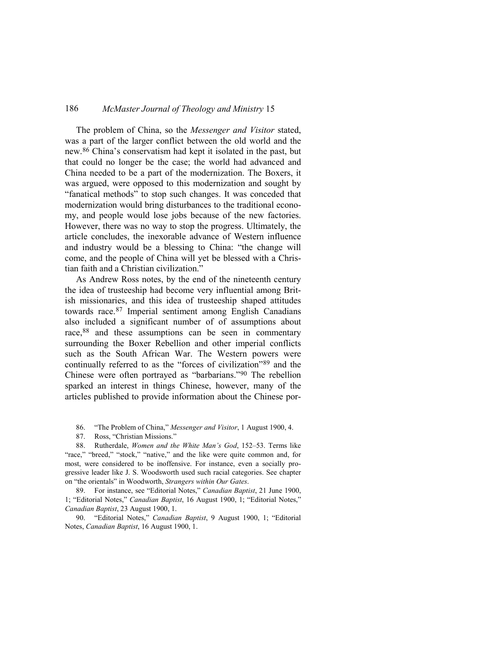The problem of China, so the *Messenger and Visitor* stated, was a part of the larger conflict between the old world and the new.[86](#page-21-0) China's conservatism had kept it isolated in the past, but that could no longer be the case; the world had advanced and China needed to be a part of the modernization. The Boxers, it was argued, were opposed to this modernization and sought by "fanatical methods" to stop such changes. It was conceded that modernization would bring disturbances to the traditional economy, and people would lose jobs because of the new factories. However, there was no way to stop the progress. Ultimately, the article concludes, the inexorable advance of Western influence and industry would be a blessing to China: "the change will come, and the people of China will yet be blessed with a Christian faith and a Christian civilization."

As Andrew Ross notes, by the end of the nineteenth century the idea of trusteeship had become very influential among British missionaries, and this idea of trusteeship shaped attitudes towards race.[87](#page-21-1) Imperial sentiment among English Canadians also included a significant number of of assumptions about race,  $88$  and these assumptions can be seen in commentary surrounding the Boxer Rebellion and other imperial conflicts such as the South African War. The Western powers were continually referred to as the "forces of civilization"[89](#page-21-3) and the Chinese were often portrayed as "barbarians."[90](#page-21-4) The rebellion sparked an interest in things Chinese, however, many of the articles published to provide information about the Chinese por-

- 86. "The Problem of China," *Messenger and Visitor*, 1 August 1900, 4.
- 87. Ross, "Christian Missions."

<span id="page-21-2"></span><span id="page-21-1"></span><span id="page-21-0"></span>88. Rutherdale, *Women and the White Man's God*, 152–53. Terms like "race," "breed," "stock," "native," and the like were quite common and, for most, were considered to be inoffensive. For instance, even a socially progressive leader like J. S. Woodsworth used such racial categories. See chapter on "the orientals" in Woodworth, *Strangers within Our Gates*.

<span id="page-21-3"></span>89. For instance, see "Editorial Notes," *Canadian Baptist*, 21 June 1900, 1; "Editorial Notes," *Canadian Baptist*, 16 August 1900, 1; "Editorial Notes," *Canadian Baptist*, 23 August 1900, 1.

<span id="page-21-4"></span>90. "Editorial Notes," *Canadian Baptist*, 9 August 1900, 1; "Editorial Notes, *Canadian Baptist*, 16 August 1900, 1.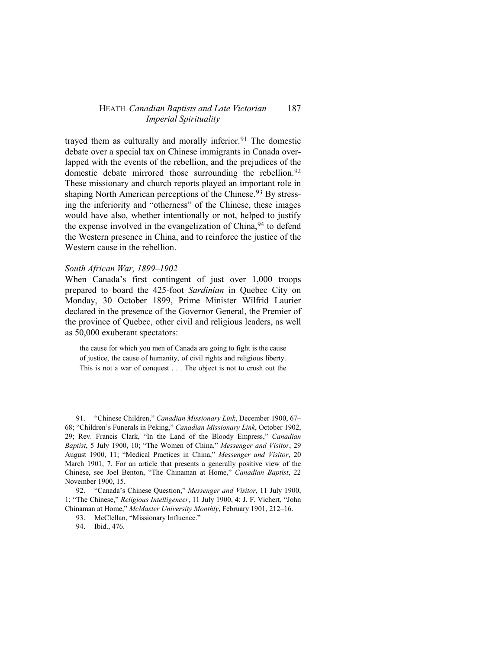trayed them as culturally and morally inferior.<sup>[91](#page-22-0)</sup> The domestic debate over a special tax on Chinese immigrants in Canada overlapped with the events of the rebellion, and the prejudices of the domestic debate mirrored those surrounding the rebellion.<sup>[92](#page-22-1)</sup> These missionary and church reports played an important role in shaping North American perceptions of the Chinese.<sup>[93](#page-22-2)</sup> By stressing the inferiority and "otherness" of the Chinese, these images would have also, whether intentionally or not, helped to justify the expense involved in the evangelization of China, <sup>[94](#page-22-3)</sup> to defend the Western presence in China, and to reinforce the justice of the Western cause in the rebellion.

## *South African War, 1899–1902*

When Canada's first contingent of just over 1,000 troops prepared to board the 425-foot *Sardinian* in Quebec City on Monday, 30 October 1899, Prime Minister Wilfrid Laurier declared in the presence of the Governor General, the Premier of the province of Quebec, other civil and religious leaders, as well as 50,000 exuberant spectators:

the cause for which you men of Canada are going to fight is the cause of justice, the cause of humanity, of civil rights and religious liberty. This is not a war of conquest . . . The object is not to crush out the

<span id="page-22-0"></span>91. "Chinese Children," *Canadian Missionary Link*, December 1900, 67– 68; "Children's Funerals in Peking," *Canadian Missionary Link*, October 1902, 29; Rev. Francis Clark, "In the Land of the Bloody Empress," *Canadian Baptist*, 5 July 1900, 10; "The Women of China," *Messenger and Visitor*, 29 August 1900, 11; "Medical Practices in China," *Messenger and Visitor*, 20 March 1901, 7. For an article that presents a generally positive view of the Chinese, see Joel Benton, "The Chinaman at Home," *Canadian Baptist*, 22 November 1900, 15.

<span id="page-22-3"></span><span id="page-22-2"></span><span id="page-22-1"></span>92. "Canada's Chinese Question," *Messenger and Visitor*, 11 July 1900, 1; "The Chinese," *Religious Intelligencer*, 11 July 1900, 4; J. F. Vichert, "John Chinaman at Home," *McMaster University Monthly*, February 1901, 212–16.

93. McClellan, "Missionary Influence."

94. Ibid., 476.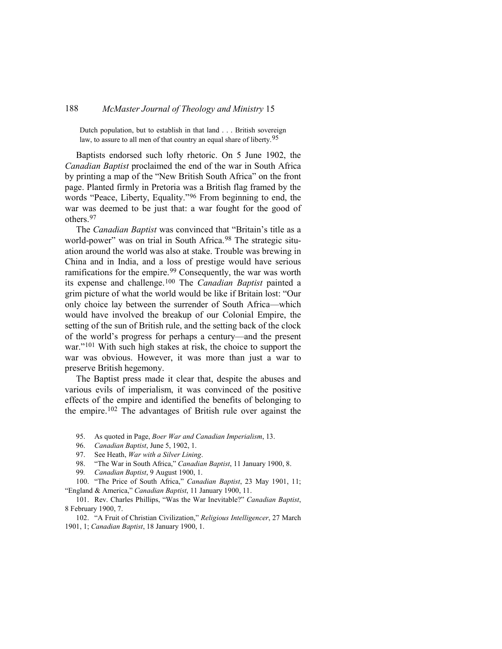Dutch population, but to establish in that land . . . British sovereign law, to assure to all men of that country an equal share of liberty.<sup>[95](#page-23-0)</sup>

Baptists endorsed such lofty rhetoric. On 5 June 1902, the *Canadian Baptist* proclaimed the end of the war in South Africa by printing a map of the "New British South Africa" on the front page. Planted firmly in Pretoria was a British flag framed by the words "Peace, Liberty, Equality."[96](#page-23-1) From beginning to end, the war was deemed to be just that: a war fought for the good of others.[97](#page-23-2)

The *Canadian Baptist* was convinced that "Britain's title as a world-power" was on trial in South Africa.<sup>[98](#page-23-3)</sup> The strategic situation around the world was also at stake. Trouble was brewing in China and in India, and a loss of prestige would have serious ramifications for the empire.[99](#page-23-4) Consequently, the war was worth its expense and challenge.[100](#page-23-5) The *Canadian Baptist* painted a grim picture of what the world would be like if Britain lost: "Our only choice lay between the surrender of South Africa—which would have involved the breakup of our Colonial Empire, the setting of the sun of British rule, and the setting back of the clock of the world's progress for perhaps a century—and the present war."[101](#page-23-6) With such high stakes at risk, the choice to support the war was obvious. However, it was more than just a war to preserve British hegemony.

The Baptist press made it clear that, despite the abuses and various evils of imperialism, it was convinced of the positive effects of the empire and identified the benefits of belonging to the empire.[102](#page-23-7) The advantages of British rule over against the

- <span id="page-23-0"></span>95. As quoted in Page, *Boer War and Canadian Imperialism*, 13.
- 96. *Canadian Baptist*, June 5, 1902, 1.
- 97. See Heath, *War with a Silver Lining*.
- 98. "The War in South Africa," *Canadian Baptist*, 11 January 1900, 8.
- 99*. Canadian Baptist*, 9 August 1900, 1.

<span id="page-23-5"></span><span id="page-23-4"></span><span id="page-23-3"></span><span id="page-23-2"></span><span id="page-23-1"></span>100. "The Price of South Africa," *Canadian Baptist*, 23 May 1901, 11; "England & America," *Canadian Baptist*, 11 January 1900, 11.

<span id="page-23-6"></span>101. Rev. Charles Phillips, "Was the War Inevitable?" *Canadian Baptist*, 8 February 1900, 7.

<span id="page-23-7"></span>102. "A Fruit of Christian Civilization," *Religious Intelligencer*, 27 March 1901, 1; *Canadian Baptist*, 18 January 1900, 1.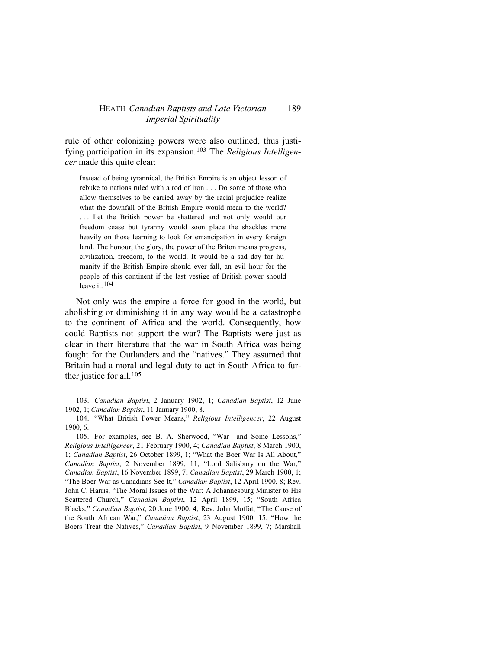rule of other colonizing powers were also outlined, thus justifying participation in its expansion.[103](#page-24-0) The *Religious Intelligencer* made this quite clear:

Instead of being tyrannical, the British Empire is an object lesson of rebuke to nations ruled with a rod of iron . . . Do some of those who allow themselves to be carried away by the racial prejudice realize what the downfall of the British Empire would mean to the world? ... Let the British power be shattered and not only would our freedom cease but tyranny would soon place the shackles more heavily on those learning to look for emancipation in every foreign land. The honour, the glory, the power of the Briton means progress, civilization, freedom, to the world. It would be a sad day for humanity if the British Empire should ever fall, an evil hour for the people of this continent if the last vestige of British power should leave it.  $104$ 

Not only was the empire a force for good in the world, but abolishing or diminishing it in any way would be a catastrophe to the continent of Africa and the world. Consequently, how could Baptists not support the war? The Baptists were just as clear in their literature that the war in South Africa was being fought for the Outlanders and the "natives." They assumed that Britain had a moral and legal duty to act in South Africa to fur-ther justice for all.<sup>[105](#page-24-2)</sup>

<span id="page-24-0"></span>103. *Canadian Baptist*, 2 January 1902, 1; *Canadian Baptist*, 12 June 1902, 1; *Canadian Baptist*, 11 January 1900, 8.

<span id="page-24-1"></span>104. "What British Power Means," *Religious Intelligencer*, 22 August 1900, 6.

<span id="page-24-2"></span>105. For examples, see B. A. Sherwood, "War—and Some Lessons," *Religious Intelligencer*, 21 February 1900, 4; *Canadian Baptist*, 8 March 1900, 1; *Canadian Baptist*, 26 October 1899, 1; "What the Boer War Is All About," *Canadian Baptist*, 2 November 1899, 11; "Lord Salisbury on the War," *Canadian Baptist*, 16 November 1899, 7; *Canadian Baptist*, 29 March 1900, 1; "The Boer War as Canadians See It," *Canadian Baptist*, 12 April 1900, 8; Rev. John C. Harris, "The Moral Issues of the War: A Johannesburg Minister to His Scattered Church," *Canadian Baptist*, 12 April 1899, 15; "South Africa Blacks," *Canadian Baptist*, 20 June 1900, 4; Rev. John Moffat, "The Cause of the South African War," *Canadian Baptist*, 23 August 1900, 15; "How the Boers Treat the Natives," *Canadian Baptist*, 9 November 1899, 7; Marshall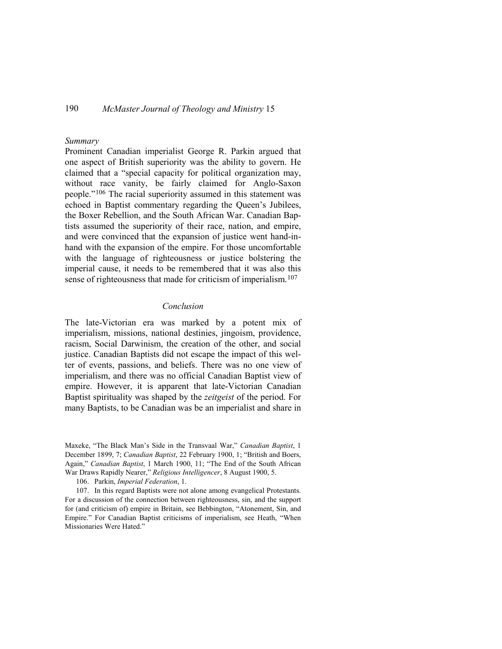## *Summary*

Prominent Canadian imperialist George R. Parkin argued that one aspect of British superiority was the ability to govern. He claimed that a "special capacity for political organization may, without race vanity, be fairly claimed for Anglo-Saxon people."[106](#page-25-0) The racial superiority assumed in this statement was echoed in Baptist commentary regarding the Queen's Jubilees, the Boxer Rebellion, and the South African War. Canadian Baptists assumed the superiority of their race, nation, and empire, and were convinced that the expansion of justice went hand-inhand with the expansion of the empire. For those uncomfortable with the language of righteousness or justice bolstering the imperial cause, it needs to be remembered that it was also this sense of righteousness that made for criticism of imperialism.<sup>[107](#page-25-1)</sup>

## *Conclusion*

The late-Victorian era was marked by a potent mix of imperialism, missions, national destinies, jingoism, providence, racism, Social Darwinism, the creation of the other, and social justice. Canadian Baptists did not escape the impact of this welter of events, passions, and beliefs. There was no one view of imperialism, and there was no official Canadian Baptist view of empire. However, it is apparent that late-Victorian Canadian Baptist spirituality was shaped by the *zeitgeist* of the period. For many Baptists, to be Canadian was be an imperialist and share in

Maxeke, "The Black Man's Side in the Transvaal War," *Canadian Baptist*, 1 December 1899, 7; *Canadian Baptist*, 22 February 1900, 1; "British and Boers, Again," *Canadian Baptist*, 1 March 1900, 11; "The End of the South African War Draws Rapidly Nearer," *Religious Intelligencer*, 8 August 1900, 5.

<sup>106.</sup> Parkin, *Imperial Federation*, 1.

<span id="page-25-1"></span><span id="page-25-0"></span><sup>107.</sup> In this regard Baptists were not alone among evangelical Protestants. For a discussion of the connection between righteousness, sin, and the support for (and criticism of) empire in Britain, see Bebbington, "Atonement, Sin, and Empire." For Canadian Baptist criticisms of imperialism, see Heath, "When Missionaries Were Hated."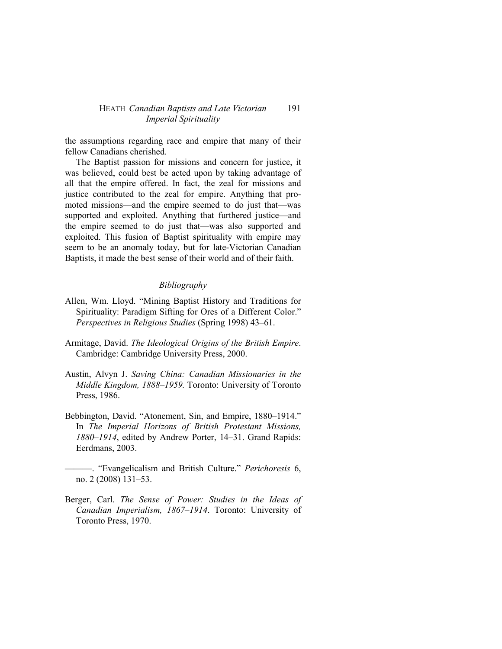the assumptions regarding race and empire that many of their fellow Canadians cherished.

The Baptist passion for missions and concern for justice, it was believed, could best be acted upon by taking advantage of all that the empire offered. In fact, the zeal for missions and justice contributed to the zeal for empire. Anything that promoted missions—and the empire seemed to do just that—was supported and exploited. Anything that furthered justice—and the empire seemed to do just that—was also supported and exploited. This fusion of Baptist spirituality with empire may seem to be an anomaly today, but for late-Victorian Canadian Baptists, it made the best sense of their world and of their faith.

# *Bibliography*

- Allen, Wm. Lloyd. "Mining Baptist History and Traditions for Spirituality: Paradigm Sifting for Ores of a Different Color." *Perspectives in Religious Studies* (Spring 1998) 43–61.
- Armitage, David. *The Ideological Origins of the British Empire*. Cambridge: Cambridge University Press, 2000.
- Austin, Alvyn J. *Saving China: Canadian Missionaries in the Middle Kingdom, 1888–1959.* Toronto: University of Toronto Press, 1986.
- Bebbington, David. "Atonement, Sin, and Empire, 1880–1914." In *The Imperial Horizons of British Protestant Missions, 1880*–*1914*, edited by Andrew Porter, 14–31. Grand Rapids: Eerdmans, 2003.
	- ———. "Evangelicalism and British Culture." *Perichoresis* 6, no. 2 (2008) 131–53.
- Berger, Carl. *The Sense of Power: Studies in the Ideas of Canadian Imperialism, 1867–1914*. Toronto: University of Toronto Press, 1970.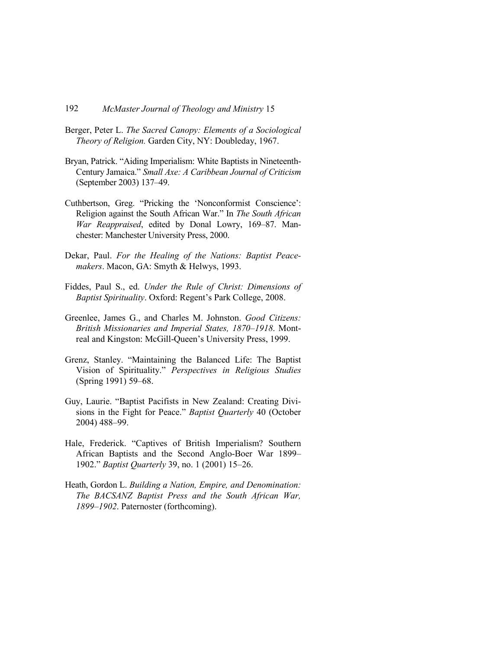- Berger, Peter L. *The Sacred Canopy: Elements of a Sociological Theory of Religion.* Garden City, NY: Doubleday, 1967.
- Bryan, Patrick. "Aiding Imperialism: White Baptists in Nineteenth-Century Jamaica." *Small Axe: A Caribbean Journal of Criticism* (September 2003) 137–49.
- Cuthbertson, Greg. "Pricking the 'Nonconformist Conscience': Religion against the South African War." In *The South African War Reappraised*, edited by Donal Lowry, 169–87. Manchester: Manchester University Press, 2000.
- Dekar, Paul. *For the Healing of the Nations: Baptist Peacemakers*. Macon, GA: Smyth & Helwys, 1993.
- Fiddes, Paul S., ed. *Under the Rule of Christ: Dimensions of Baptist Spirituality*. Oxford: Regent's Park College, 2008.
- Greenlee, James G., and Charles M. Johnston. *Good Citizens: British Missionaries and Imperial States, 1870–1918*. Montreal and Kingston: McGill-Queen's University Press, 1999.
- Grenz, Stanley. "Maintaining the Balanced Life: The Baptist Vision of Spirituality." *Perspectives in Religious Studies* (Spring 1991) 59–68.
- Guy, Laurie. "Baptist Pacifists in New Zealand: Creating Divisions in the Fight for Peace." *Baptist Quarterly* 40 (October 2004) 488–99.
- Hale, Frederick. "Captives of British Imperialism? Southern African Baptists and the Second Anglo-Boer War 1899– 1902." *Baptist Quarterly* 39, no. 1 (2001) 15–26.
- Heath, Gordon L. *Building a Nation, Empire, and Denomination: The BACSANZ Baptist Press and the South African War, 1899–1902*. Paternoster (forthcoming).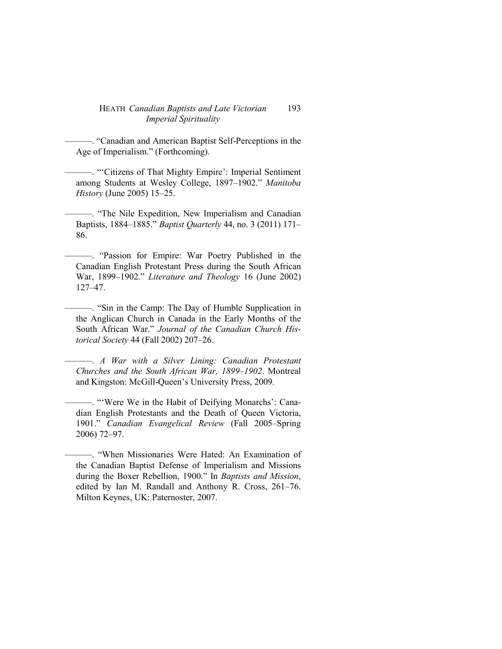———. "Canadian and American Baptist Self-Perceptions in the Age of Imperialism." (Forthcoming).

———. "'Citizens of That Mighty Empire': Imperial Sentiment among Students at Wesley College, 1897–1902." *Manitoba History* (June 2005) 15–25.

———. "The Nile Expedition, New Imperialism and Canadian Baptists, 1884–1885." *Baptist Quarterly* 44, no. 3 (2011) 171– 86.

———. "Passion for Empire: War Poetry Published in the Canadian English Protestant Press during the South African War, 1899–1902." *Literature and Theology* 16 (June 2002) 127–47.

———. "Sin in the Camp: The Day of Humble Supplication in the Anglican Church in Canada in the Early Months of the South African War." *Journal of the Canadian Church Historical Society* 44 (Fall 2002) 207–26.

———. *A War with a Silver Lining: Canadian Protestant Churches and the South African War, 1899–1902*. Montreal and Kingston: McGill-Queen's University Press, 2009.

———. "'Were We in the Habit of Deifying Monarchs': Canadian English Protestants and the Death of Queen Victoria, 1901." *Canadian Evangelical Review* (Fall 2005–Spring 2006) 72–97.

<sup>———. &</sup>quot;When Missionaries Were Hated: An Examination of the Canadian Baptist Defense of Imperialism and Missions during the Boxer Rebellion, 1900." In *Baptists and Mission*, edited by Ian M. Randall and Anthony R. Cross, 261–76. Milton Keynes, UK: Paternoster, 2007.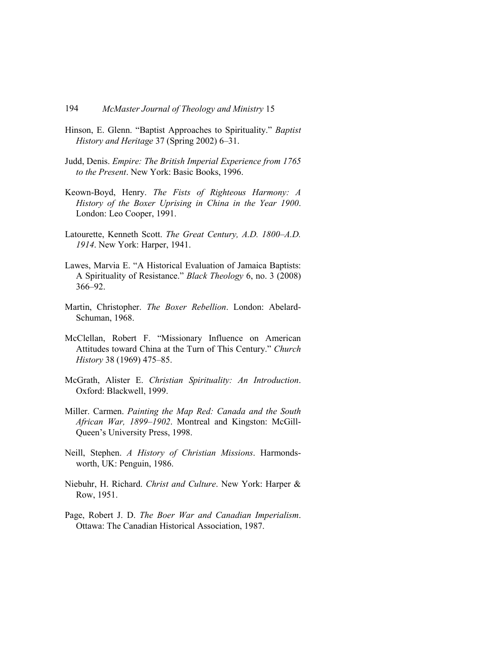- Hinson, E. Glenn. "Baptist Approaches to Spirituality." *Baptist History and Heritage* 37 (Spring 2002) 6–31.
- Judd, Denis. *Empire: The British Imperial Experience from 1765 to the Present*. New York: Basic Books, 1996.
- Keown-Boyd, Henry. *The Fists of Righteous Harmony: A History of the Boxer Uprising in China in the Year 1900*. London: Leo Cooper, 1991.
- Latourette, Kenneth Scott. *The Great Century, A.D. 1800–A.D. 1914*. New York: Harper, 1941.
- Lawes, Marvia E. "A Historical Evaluation of Jamaica Baptists: A Spirituality of Resistance." *Black Theology* 6, no. 3 (2008) 366–92.
- Martin, Christopher. *The Boxer Rebellion*. London: Abelard-Schuman, 1968.
- McClellan, Robert F. "Missionary Influence on American Attitudes toward China at the Turn of This Century." *Church History* 38 (1969) 475–85.
- McGrath, Alister E. *Christian Spirituality: An Introduction*. Oxford: Blackwell, 1999.
- Miller. Carmen. *Painting the Map Red: Canada and the South African War, 1899–1902*. Montreal and Kingston: McGill-Queen's University Press, 1998.
- Neill, Stephen. *A History of Christian Missions*. Harmondsworth, UK: Penguin, 1986.
- Niebuhr, H. Richard. *Christ and Culture*. New York: Harper & Row, 1951.
- Page, Robert J. D. *The Boer War and Canadian Imperialism*. Ottawa: The Canadian Historical Association, 1987.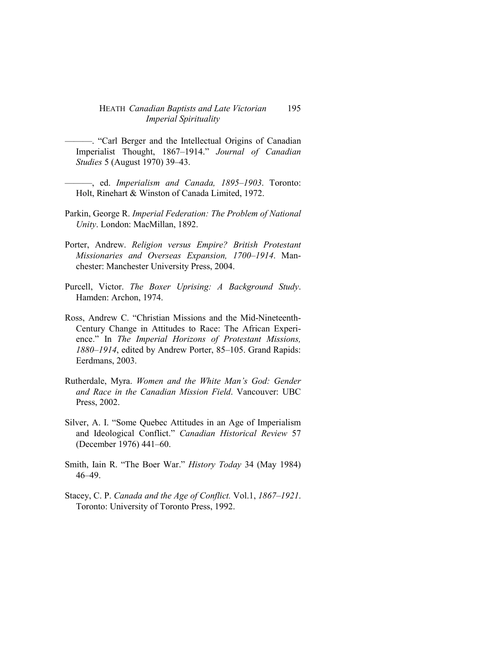- ———. "Carl Berger and the Intellectual Origins of Canadian Imperialist Thought, 1867–1914." *Journal of Canadian Studies* 5 (August 1970) 39–43.
- ———, ed. *Imperialism and Canada, 1895–1903*. Toronto: Holt, Rinehart & Winston of Canada Limited, 1972.
- Parkin, George R. *Imperial Federation: The Problem of National Unity*. London: MacMillan, 1892.
- Porter, Andrew. *Religion versus Empire? British Protestant Missionaries and Overseas Expansion, 1700–1914*. Manchester: Manchester University Press, 2004.
- Purcell, Victor. *The Boxer Uprising: A Background Study*. Hamden: Archon, 1974.
- Ross, Andrew C. "Christian Missions and the Mid-Nineteenth-Century Change in Attitudes to Race: The African Experience." In *The Imperial Horizons of Protestant Missions, 1880–1914*, edited by Andrew Porter, 85–105. Grand Rapids: Eerdmans, 2003.
- Rutherdale, Myra. *Women and the White Man's God: Gender and Race in the Canadian Mission Field*. Vancouver: UBC Press, 2002.
- Silver, A. I. "Some Quebec Attitudes in an Age of Imperialism and Ideological Conflict." *Canadian Historical Review* 57 (December 1976) 441–60.
- Smith, Iain R. "The Boer War." *History Today* 34 (May 1984) 46–49.
- Stacey, C. P. *Canada and the Age of Conflict.* Vol.1, *1867–1921*. Toronto: University of Toronto Press, 1992.